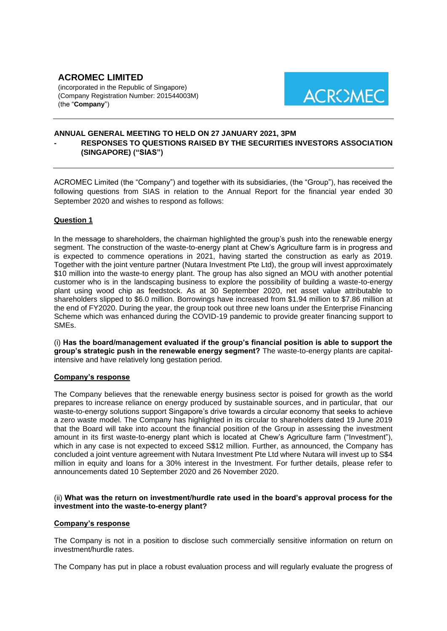# **ACROMEC LIMITED** (incorporated in the Republic of Singapore)

(Company Registration Number: 201544003M) (the "**Company**")



# **ANNUAL GENERAL MEETING TO HELD ON 27 JANUARY 2021, 3PM - RESPONSES TO QUESTIONS RAISED BY THE SECURITIES INVESTORS ASSOCIATION (SINGAPORE) ("SIAS")**

ACROMEC Limited (the "Company") and together with its subsidiaries, (the "Group"), has received the following questions from SIAS in relation to the Annual Report for the financial year ended 30 September 2020 and wishes to respond as follows:

# **Question 1**

In the message to shareholders, the chairman highlighted the group's push into the renewable energy segment. The construction of the waste-to-energy plant at Chew's Agriculture farm is in progress and is expected to commence operations in 2021, having started the construction as early as 2019. Together with the joint venture partner (Nutara Investment Pte Ltd), the group will invest approximately \$10 million into the waste-to energy plant. The group has also signed an MOU with another potential customer who is in the landscaping business to explore the possibility of building a waste-to-energy plant using wood chip as feedstock. As at 30 September 2020, net asset value attributable to shareholders slipped to \$6.0 million. Borrowings have increased from \$1.94 million to \$7.86 million at the end of FY2020. During the year, the group took out three new loans under the Enterprise Financing Scheme which was enhanced during the COVID-19 pandemic to provide greater financing support to SMEs.

(i) **Has the board/management evaluated if the group's financial position is able to support the group's strategic push in the renewable energy segment?** The waste-to-energy plants are capitalintensive and have relatively long gestation period.

# **Company's response**

The Company believes that the renewable energy business sector is poised for growth as the world prepares to increase reliance on energy produced by sustainable sources, and in particular, that our waste-to-energy solutions support Singapore's drive towards a circular economy that seeks to achieve a zero waste model. The Company has highlighted in its circular to shareholders dated 19 June 2019 that the Board will take into account the financial position of the Group in assessing the investment amount in its first waste-to-energy plant which is located at Chew's Agriculture farm ("Investment"), which in any case is not expected to exceed S\$12 million. Further, as announced, the Company has concluded a joint venture agreement with Nutara Investment Pte Ltd where Nutara will invest up to S\$4 million in equity and loans for a 30% interest in the Investment. For further details, please refer to announcements dated 10 September 2020 and 26 November 2020.

## (ii) **What was the return on investment/hurdle rate used in the board's approval process for the investment into the waste-to-energy plant?**

### **Company's response**

The Company is not in a position to disclose such commercially sensitive information on return on investment/hurdle rates.

The Company has put in place a robust evaluation process and will regularly evaluate the progress of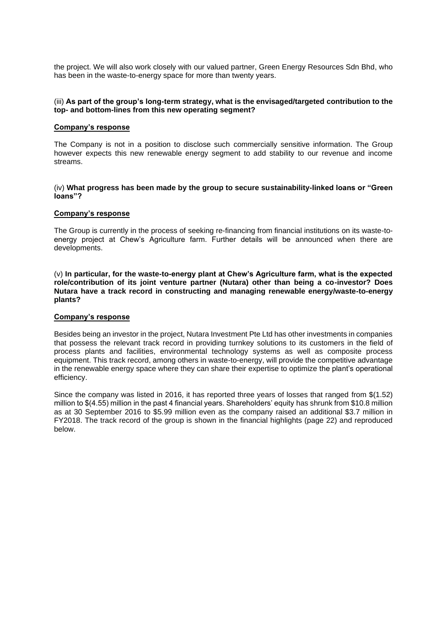the project. We will also work closely with our valued partner, Green Energy Resources Sdn Bhd, who has been in the waste-to-energy space for more than twenty years.

### (iii) **As part of the group's long-term strategy, what is the envisaged/targeted contribution to the top- and bottom-lines from this new operating segment?**

### **Company's response**

The Company is not in a position to disclose such commercially sensitive information. The Group however expects this new renewable energy segment to add stability to our revenue and income streams.

#### (iv) **What progress has been made by the group to secure sustainability-linked loans or "Green loans"?**

#### **Company's response**

The Group is currently in the process of seeking re-financing from financial institutions on its waste-toenergy project at Chew's Agriculture farm. Further details will be announced when there are developments.

(v) **In particular, for the waste-to-energy plant at Chew's Agriculture farm, what is the expected role/contribution of its joint venture partner (Nutara) other than being a co-investor? Does Nutara have a track record in constructing and managing renewable energy/waste-to-energy plants?**

### **Company's response**

Besides being an investor in the project, Nutara Investment Pte Ltd has other investments in companies that possess the relevant track record in providing turnkey solutions to its customers in the field of process plants and facilities, environmental technology systems as well as composite process equipment. This track record, among others in waste-to-energy, will provide the competitive advantage in the renewable energy space where they can share their expertise to optimize the plant's operational efficiency.

Since the company was listed in 2016, it has reported three years of losses that ranged from \$(1.52) million to \$(4.55) million in the past 4 financial years. Shareholders' equity has shrunk from \$10.8 million as at 30 September 2016 to \$5.99 million even as the company raised an additional \$3.7 million in FY2018. The track record of the group is shown in the financial highlights (page 22) and reproduced below.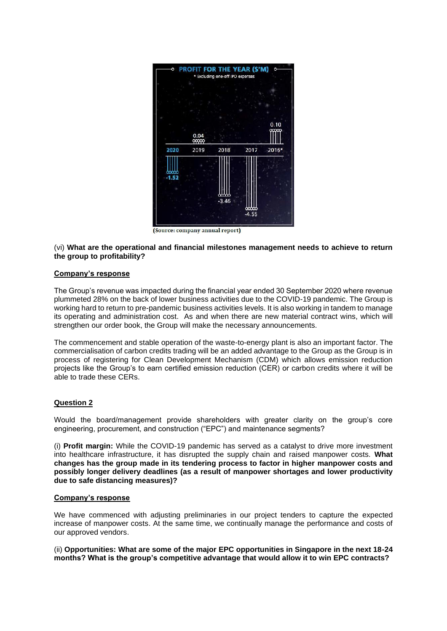

(Source: company annual report)

(vi) **What are the operational and financial milestones management needs to achieve to return the group to profitability?**

### **Company's response**

The Group's revenue was impacted during the financial year ended 30 September 2020 where revenue plummeted 28% on the back of lower business activities due to the COVID-19 pandemic. The Group is working hard to return to pre-pandemic business activities levels. It is also working in tandem to manage its operating and administration cost. As and when there are new material contract wins, which will strengthen our order book, the Group will make the necessary announcements.

The commencement and stable operation of the waste-to-energy plant is also an important factor. The commercialisation of carbon credits trading will be an added advantage to the Group as the Group is in process of registering for Clean Development Mechanism (CDM) which allows emission reduction projects like the Group's to earn certified emission reduction (CER) or carbon credits where it will be able to trade these CERs.

### **Question 2**

Would the board/management provide shareholders with greater clarity on the group's core engineering, procurement, and construction ("EPC") and maintenance segments?

(i) **Profit margin:** While the COVID-19 pandemic has served as a catalyst to drive more investment into healthcare infrastructure, it has disrupted the supply chain and raised manpower costs. **What changes has the group made in its tendering process to factor in higher manpower costs and possibly longer delivery deadlines (as a result of manpower shortages and lower productivity due to safe distancing measures)?**

### **Company's response**

We have commenced with adjusting preliminaries in our project tenders to capture the expected increase of manpower costs. At the same time, we continually manage the performance and costs of our approved vendors.

(ii) **Opportunities: What are some of the major EPC opportunities in Singapore in the next 18-24 months? What is the group's competitive advantage that would allow it to win EPC contracts?**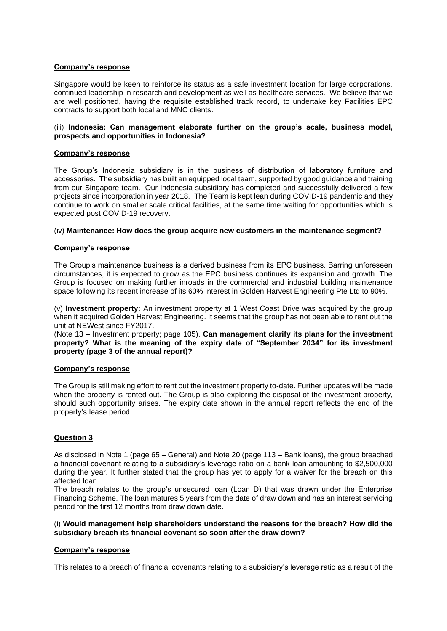### **Company's response**

Singapore would be keen to reinforce its status as a safe investment location for large corporations, continued leadership in research and development as well as healthcare services. We believe that we are well positioned, having the requisite established track record, to undertake key Facilities EPC contracts to support both local and MNC clients.

## (iii) **Indonesia: Can management elaborate further on the group's scale, business model, prospects and opportunities in Indonesia?**

## **Company's response**

The Group's Indonesia subsidiary is in the business of distribution of laboratory furniture and accessories. The subsidiary has built an equipped local team, supported by good guidance and training from our Singapore team. Our Indonesia subsidiary has completed and successfully delivered a few projects since incorporation in year 2018. The Team is kept lean during COVID-19 pandemic and they continue to work on smaller scale critical facilities, at the same time waiting for opportunities which is expected post COVID-19 recovery.

### (iv) **Maintenance: How does the group acquire new customers in the maintenance segment?**

## **Company's response**

The Group's maintenance business is a derived business from its EPC business. Barring unforeseen circumstances, it is expected to grow as the EPC business continues its expansion and growth. The Group is focused on making further inroads in the commercial and industrial building maintenance space following its recent increase of its 60% interest in Golden Harvest Engineering Pte Ltd to 90%.

(v) **Investment property:** An investment property at 1 West Coast Drive was acquired by the group when it acquired Golden Harvest Engineering. It seems that the group has not been able to rent out the unit at NEWest since FY2017.

(Note 13 – Investment property; page 105). **Can management clarify its plans for the investment property? What is the meaning of the expiry date of "September 2034" for its investment property (page 3 of the annual report)?**

### **Company's response**

The Group is still making effort to rent out the investment property to-date. Further updates will be made when the property is rented out. The Group is also exploring the disposal of the investment property, should such opportunity arises. The expiry date shown in the annual report reflects the end of the property's lease period.

# **Question 3**

As disclosed in Note 1 (page 65 – General) and Note 20 (page 113 – Bank loans), the group breached a financial covenant relating to a subsidiary's leverage ratio on a bank loan amounting to \$2,500,000 during the year. It further stated that the group has yet to apply for a waiver for the breach on this affected loan.

The breach relates to the group's unsecured loan (Loan D) that was drawn under the Enterprise Financing Scheme. The loan matures 5 years from the date of draw down and has an interest servicing period for the first 12 months from draw down date.

### (i) **Would management help shareholders understand the reasons for the breach? How did the subsidiary breach its financial covenant so soon after the draw down?**

### **Company's response**

This relates to a breach of financial covenants relating to a subsidiary's leverage ratio as a result of the